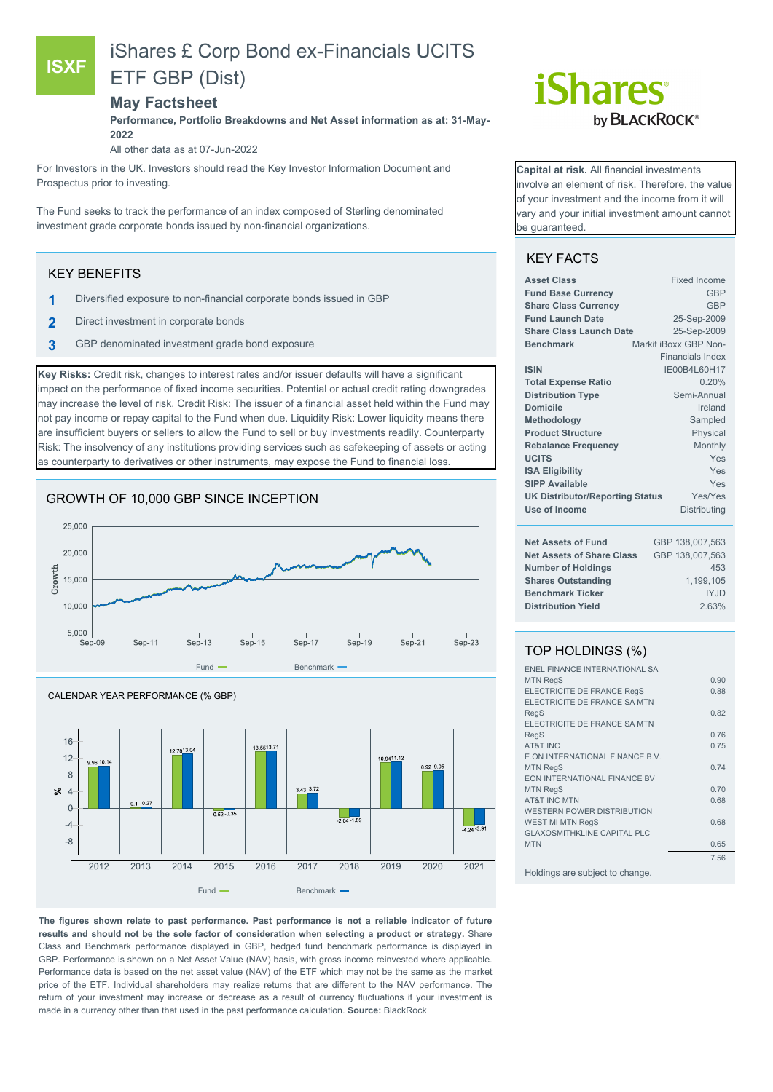## **ISXF**

# iShares £ Corp Bond ex-Financials UCITS ETF GBP (Dist)

#### **May Factsheet**

**Performance, Portfolio Breakdowns and Net Asset information as at: 31-May-2022**

All other data as at 07-Jun-2022

For Investors in the UK. Investors should read the Key Investor Information Document and Prospectus prior to investing.

The Fund seeks to track the performance of an index composed of Sterling denominated investment grade corporate bonds issued by non-financial organizations.

#### KEY BENEFITS

- **1** Diversified exposure to non-financial corporate bonds issued in GBP
- **2** Direct investment in corporate bonds
- **3** GBP denominated investment grade bond exposure

**Key Risks:** Credit risk, changes to interest rates and/or issuer defaults will have a significant impact on the performance of fixed income securities. Potential or actual credit rating downgrades may increase the level of risk. Credit Risk: The issuer of a financial asset held within the Fund may not pay income or repay capital to the Fund when due. Liquidity Risk: Lower liquidity means there are insufficient buyers or sellers to allow the Fund to sell or buy investments readily. Counterparty Risk: The insolvency of any institutions providing services such as safekeeping of assets or acting as counterparty to derivatives or other instruments, may expose the Fund to financial loss.







**The figures shown relate to past performance. Past performance is not a reliable indicator of future results and should not be the sole factor of consideration when selecting a product or strategy.** Share Class and Benchmark performance displayed in GBP, hedged fund benchmark performance is displayed in GBP. Performance is shown on a Net Asset Value (NAV) basis, with gross income reinvested where applicable. Performance data is based on the net asset value (NAV) of the ETF which may not be the same as the market price of the ETF. Individual shareholders may realize returns that are different to the NAV performance. The return of your investment may increase or decrease as a result of currency fluctuations if your investment is made in a currency other than that used in the past performance calculation. **Source:** BlackRock

# *iShares* by **BLACKROCK**®

**Capital at risk.** All financial investments involve an element of risk. Therefore, the value of your investment and the income from it will vary and your initial investment amount cannot be guaranteed.

### KEY FACTS

| <b>Asset Class</b>                                | Fixed Income            |  |  |
|---------------------------------------------------|-------------------------|--|--|
| <b>Fund Base Currency</b>                         | <b>GBP</b>              |  |  |
| <b>Share Class Currency</b>                       | <b>GBP</b>              |  |  |
| <b>Fund Launch Date</b>                           | 25-Sep-2009             |  |  |
| <b>Share Class Launch Date</b>                    | 25-Sep-2009             |  |  |
| <b>Benchmark</b>                                  | Markit iBoxx GBP Non-   |  |  |
|                                                   | <b>Financials Index</b> |  |  |
| <b>ISIN</b>                                       | IE00B4L60H17            |  |  |
| <b>Total Expense Ratio</b>                        | 0.20%                   |  |  |
| <b>Distribution Type</b>                          | Semi-Annual             |  |  |
| Domicile                                          | Ireland                 |  |  |
| Methodology                                       | Sampled                 |  |  |
| <b>Product Structure</b>                          | Physical                |  |  |
| <b>Rebalance Frequency</b>                        | Monthly                 |  |  |
| <b>UCITS</b>                                      | Yes                     |  |  |
| <b>ISA Eligibility</b>                            | Yes                     |  |  |
| <b>SIPP Available</b>                             | Yes                     |  |  |
| Yes/Yes<br><b>UK Distributor/Reporting Status</b> |                         |  |  |
| Use of Income                                     | Distributing            |  |  |
| <b>Net Assets of Fund</b>                         | GBP 138,007,563         |  |  |
| <b>Net Assets of Share Class</b>                  | GBP 138,007,563         |  |  |
| <b>Number of Holdings</b>                         | 453                     |  |  |
| <b>Shares Outstanding</b>                         | 1,199,105               |  |  |
| <b>Benchmark Ticker</b>                           | <b>IYJD</b>             |  |  |
| <b>Distribution Yield</b>                         | 2.63%                   |  |  |
|                                                   |                         |  |  |

#### TOP HOLDINGS (%)

| <b>ENEL FINANCE INTERNATIONAL SA</b> |      |
|--------------------------------------|------|
| <b>MTN RegS</b>                      | 0.90 |
| <b>ELECTRICITE DE FRANCE RegS</b>    | 0.88 |
| ELECTRICITE DE FRANCE SA MTN         |      |
| RegS                                 | 0.82 |
| ELECTRICITE DE FRANCE SA MTN         |      |
| <b>RegS</b>                          | 0.76 |
| <b>AT&amp;T INC</b>                  | 0.75 |
| E.ON INTERNATIONAL FINANCE B.V.      |      |
| <b>MTN RegS</b>                      | 0.74 |
| <b>EON INTERNATIONAL FINANCE BV</b>  |      |
| <b>MTN RegS</b>                      | 0.70 |
| <b>AT&amp;T INC MTN</b>              | 0.68 |
| <b>WESTERN POWER DISTRIBUTION</b>    |      |
| <b>WEST MI MTN RegS</b>              | 0.68 |
| <b>GLAXOSMITHKLINE CAPITAL PLC</b>   |      |
| <b>MTN</b>                           | 0.65 |
|                                      | 7.56 |
|                                      |      |

Holdings are subject to change.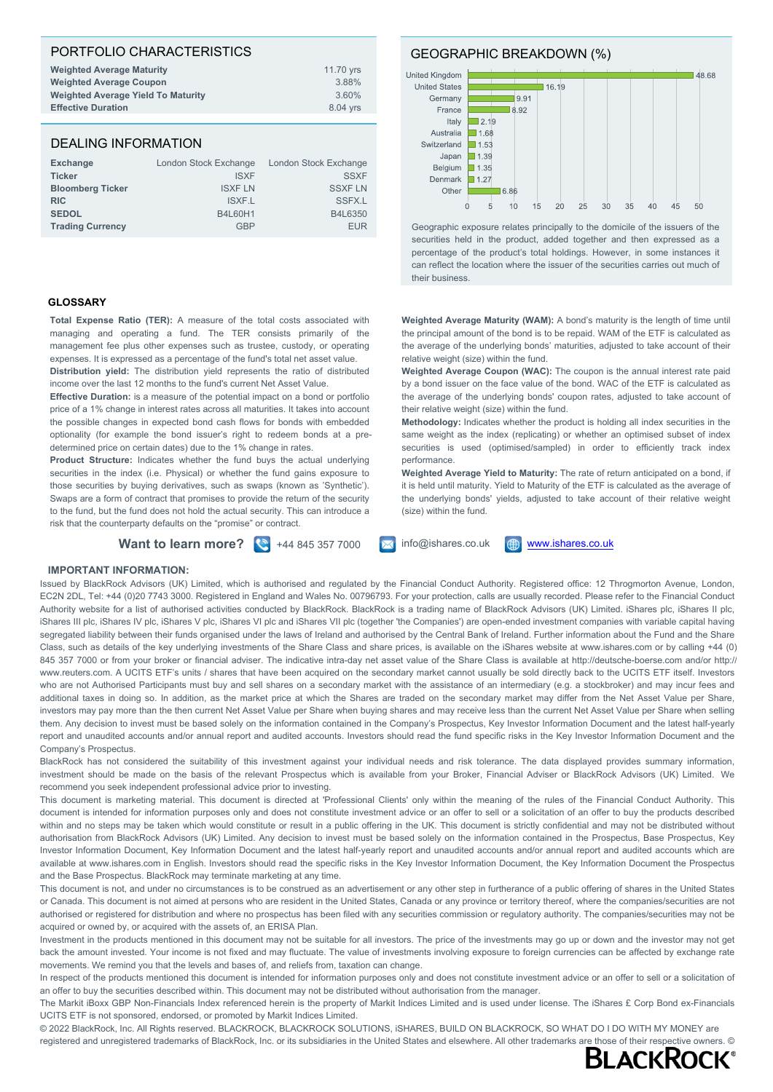#### PORTFOLIO CHARACTERISTICS **Weighted Average Maturity** 11.70 yrs **Weighted Average Coupon** 3.88% **Weighted Average Yield To Maturity Effective Duration** 8.04 yrs

#### DEALING INFORMATION

| <b>Exchange</b>         | London Stock Exchange | London Stock Exchange |
|-------------------------|-----------------------|-----------------------|
| <b>Ticker</b>           | <b>ISXF</b>           | <b>SSXF</b>           |
| <b>Bloomberg Ticker</b> | <b>ISXF LN</b>        | <b>SSXF LN</b>        |
| <b>RIC</b>              | <b>ISXF.L</b>         | SSFX.L                |
| <b>SEDOL</b>            | <b>B4L60H1</b>        | B4L6350               |
| <b>Trading Currency</b> | GBP                   | <b>EUR</b>            |

#### **GLOSSARY**

**Total Expense Ratio (TER):** A measure of the total costs associated with managing and operating a fund. The TER consists primarily of the management fee plus other expenses such as trustee, custody, or operating expenses. It is expressed as a percentage of the fund's total net asset value. **Distribution yield:** The distribution yield represents the ratio of distributed

income over the last 12 months to the fund's current Net Asset Value.

**Effective Duration:** is a measure of the potential impact on a bond or portfolio price of a 1% change in interest rates across all maturities. It takes into account the possible changes in expected bond cash flows for bonds with embedded optionality (for example the bond issuer's right to redeem bonds at a predetermined price on certain dates) due to the 1% change in rates.

**Product Structure:** Indicates whether the fund buys the actual underlying securities in the index (i.e. Physical) or whether the fund gains exposure to those securities by buying derivatives, such as swaps (known as 'Synthetic'). Swaps are a form of contract that promises to provide the return of the security to the fund, but the fund does not hold the actual security. This can introduce a risk that the counterparty defaults on the "promise" or contract.

GEOGRAPHIC BREAKDOWN (%)



Geographic exposure relates principally to the domicile of the issuers of the securities held in the product, added together and then expressed as a percentage of the product's total holdings. However, in some instances it can reflect the location where the issuer of the securities carries out much of their business.

**Weighted Average Maturity (WAM):** A bond's maturity is the length of time until the principal amount of the bond is to be repaid. WAM of the ETF is calculated as the average of the underlying bonds' maturities, adjusted to take account of their relative weight (size) within the fund.

**Weighted Average Coupon (WAC):** The coupon is the annual interest rate paid by a bond issuer on the face value of the bond. WAC of the ETF is calculated as the average of the underlying bonds' coupon rates, adjusted to take account of their relative weight (size) within the fund.

**Methodology:** Indicates whether the product is holding all index securities in the same weight as the index (replicating) or whether an optimised subset of index securities is used (optimised/sampled) in order to efficiently track index performance.

**Weighted Average Yield to Maturity:** The rate of return anticipated on a bond, if it is held until maturity. Yield to Maturity of the ETF is calculated as the average of the underlying bonds' yields, adjusted to take account of their relative weight (size) within the fund.

**Want to learn more?**  $\left\{ \color{red} \right\}$  +44 845 357 7000  $\left\{ \color{red} \right\}$  info@ishares.co.uk  $\left\{ \color{red} \bigoplus \rule{0pt}{0pt} \frac{www.ishares.co.uk}{s} \end{array}$  $\left\{ \color{red} \bigoplus \rule{0pt}{0pt} \frac{www.ishares.co.uk}{s} \end{array}$  $\left\{ \color{red} \bigoplus \rule{0pt}{0pt} \frac{www.ishares.co.uk}{s} \end{array}$ 



#### **IMPORTANT INFORMATION:**

Issued by BlackRock Advisors (UK) Limited, which is authorised and regulated by the Financial Conduct Authority. Registered office: 12 Throgmorton Avenue, London, EC2N 2DL, Tel: +44 (0)20 7743 3000. Registered in England and Wales No. 00796793. For your protection, calls are usually recorded. Please refer to the Financial Conduct Authority website for a list of authorised activities conducted by BlackRock. BlackRock is a trading name of BlackRock Advisors (UK) Limited. iShares plc, iShares II plc, iShares III plc, iShares IV plc, iShares V plc, iShares VI plc and iShares VII plc (together 'the Companies') are open-ended investment companies with variable capital having segregated liability between their funds organised under the laws of Ireland and authorised by the Central Bank of Ireland. Further information about the Fund and the Share Class, such as details of the key underlying investments of the Share Class and share prices, is available on the iShares website at www.ishares.com or by calling +44 (0) 845 357 7000 or from your broker or financial adviser. The indicative intra-day net asset value of the Share Class is available at http://deutsche-boerse.com and/or http:// www.reuters.com. A UCITS ETF's units / shares that have been acquired on the secondary market cannot usually be sold directly back to the UCITS ETF itself. Investors who are not Authorised Participants must buy and sell shares on a secondary market with the assistance of an intermediary (e.g. a stockbroker) and may incur fees and additional taxes in doing so. In addition, as the market price at which the Shares are traded on the secondary market may differ from the Net Asset Value per Share, investors may pay more than the then current Net Asset Value per Share when buying shares and may receive less than the current Net Asset Value per Share when selling them. Any decision to invest must be based solely on the information contained in the Company's Prospectus, Key Investor Information Document and the latest half-yearly report and unaudited accounts and/or annual report and audited accounts. Investors should read the fund specific risks in the Key Investor Information Document and the Company's Prospectus.

BlackRock has not considered the suitability of this investment against your individual needs and risk tolerance. The data displayed provides summary information, investment should be made on the basis of the relevant Prospectus which is available from your Broker, Financial Adviser or BlackRock Advisors (UK) Limited. We recommend you seek independent professional advice prior to investing.

This document is marketing material. This document is directed at 'Professional Clients' only within the meaning of the rules of the Financial Conduct Authority. This document is intended for information purposes only and does not constitute investment advice or an offer to sell or a solicitation of an offer to buy the products described within and no steps may be taken which would constitute or result in a public offering in the UK. This document is strictly confidential and may not be distributed without authorisation from BlackRock Advisors (UK) Limited. Any decision to invest must be based solely on the information contained in the Prospectus, Base Prospectus, Key Investor Information Document, Key Information Document and the latest half-yearly report and unaudited accounts and/or annual report and audited accounts which are available at www.ishares.com in English. Investors should read the specific risks in the Key Investor Information Document, the Key Information Document the Prospectus and the Base Prospectus. BlackRock may terminate marketing at any time.

This document is not, and under no circumstances is to be construed as an advertisement or any other step in furtherance of a public offering of shares in the United States or Canada. This document is not aimed at persons who are resident in the United States, Canada or any province or territory thereof, where the companies/securities are not authorised or registered for distribution and where no prospectus has been filed with any securities commission or regulatory authority. The companies/securities may not be acquired or owned by, or acquired with the assets of, an ERISA Plan.

Investment in the products mentioned in this document may not be suitable for all investors. The price of the investments may go up or down and the investor may not get back the amount invested. Your income is not fixed and may fluctuate. The value of investments involving exposure to foreign currencies can be affected by exchange rate movements. We remind you that the levels and bases of, and reliefs from, taxation can change.

In respect of the products mentioned this document is intended for information purposes only and does not constitute investment advice or an offer to sell or a solicitation of an offer to buy the securities described within. This document may not be distributed without authorisation from the manager.

The Markit iBoxx GBP Non-Financials Index referenced herein is the property of Markit Indices Limited and is used under license. The iShares £ Corp Bond ex-Financials UCITS ETF is not sponsored, endorsed, or promoted by Markit Indices Limited.

© 2022 BlackRock, Inc. All Rights reserved. BLACKROCK, BLACKROCK SOLUTIONS, iSHARES, BUILD ON BLACKROCK, SO WHAT DO I DO WITH MY MONEY are registered and unregistered trademarks of BlackRock, Inc. or its subsidiaries in the United States and elsewhere. All other trademarks are those of their respective owners. ©<br>ELACKROCK®